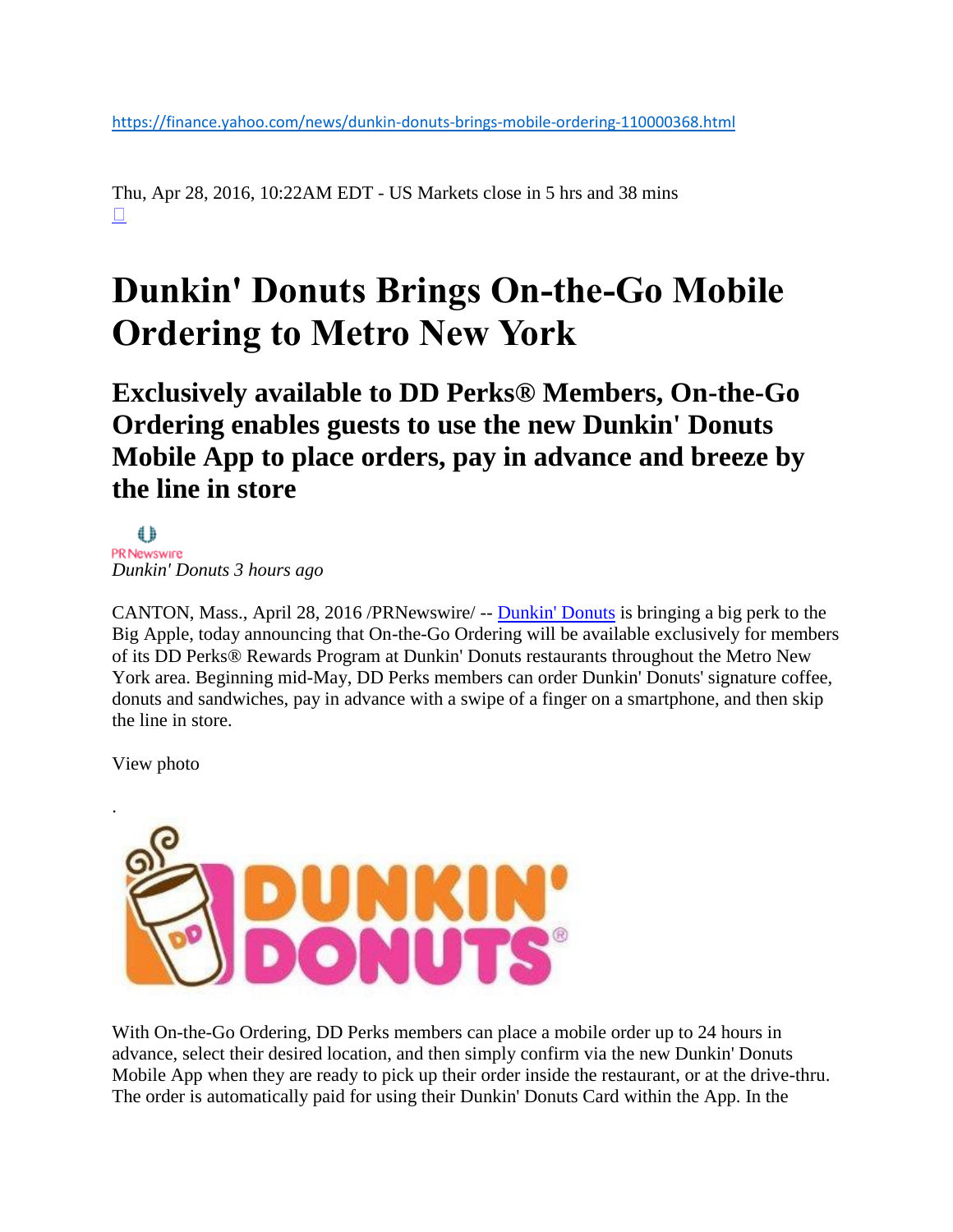<https://finance.yahoo.com/news/dunkin-donuts-brings-mobile-ordering-110000368.html>

Thu, Apr 28, 2016, 10:22AM EDT - US Markets close in 5 hrs and 38 mins  $\Box$ 

## **Dunkin' Donuts Brings On-the-Go Mobile Ordering to Metro New York**

**Exclusively available to DD Perks® Members, On-the-Go Ordering enables guests to use the new Dunkin' Donuts Mobile App to place orders, pay in advance and breeze by the line in store**

</u> PR Newswire *Dunkin' Donuts 3 hours ago*

CANTON, Mass., April 28, 2016 /PRNewswire/ -- [Dunkin' Donuts](http://www.dunkindonuts.com/) is bringing a big perk to the Big Apple, today announcing that On-the-Go Ordering will be available exclusively for members of its DD Perks® Rewards Program at Dunkin' Donuts restaurants throughout the Metro New York area. Beginning mid-May, DD Perks members can order Dunkin' Donuts' signature coffee, donuts and sandwiches, pay in advance with a swipe of a finger on a smartphone, and then skip the line in store.

View photo



With On-the-Go Ordering, DD Perks members can place a mobile order up to 24 hours in advance, select their desired location, and then simply confirm via the new Dunkin' Donuts Mobile App when they are ready to pick up their order inside the restaurant, or at the drive-thru. The order is automatically paid for using their Dunkin' Donuts Card within the App. In the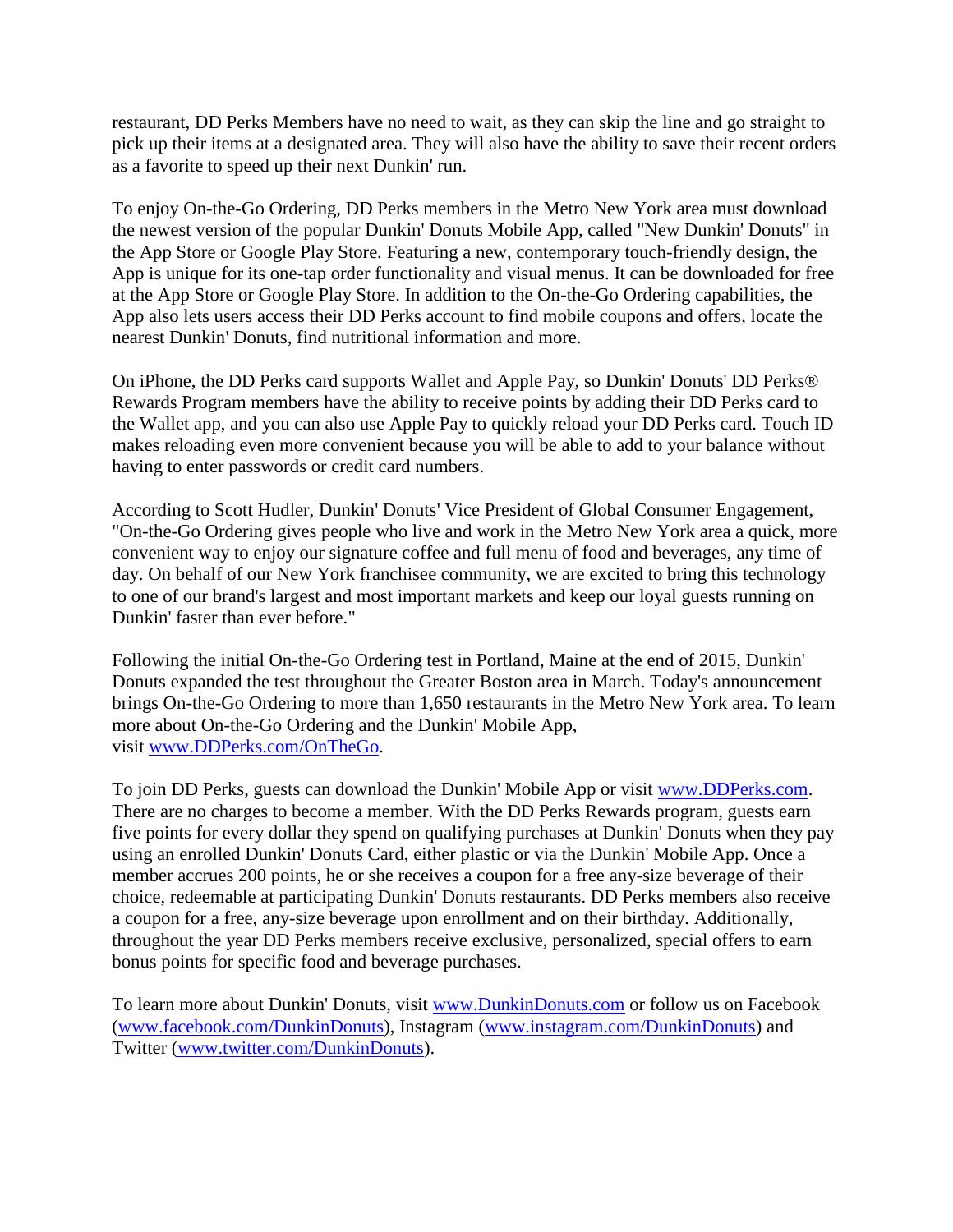restaurant, DD Perks Members have no need to wait, as they can skip the line and go straight to pick up their items at a designated area. They will also have the ability to save their recent orders as a favorite to speed up their next Dunkin' run.

To enjoy On-the-Go Ordering, DD Perks members in the Metro New York area must download the newest version of the popular Dunkin' Donuts Mobile App, called "New Dunkin' Donuts" in the App Store or Google Play Store. Featuring a new, contemporary touch-friendly design, the App is unique for its one-tap order functionality and visual menus. It can be downloaded for free at the App Store or Google Play Store. In addition to the On-the-Go Ordering capabilities, the App also lets users access their DD Perks account to find mobile coupons and offers, locate the nearest Dunkin' Donuts, find nutritional information and more.

On iPhone, the DD Perks card supports Wallet and Apple Pay, so Dunkin' Donuts' DD Perks® Rewards Program members have the ability to receive points by adding their DD Perks card to the Wallet app, and you can also use Apple Pay to quickly reload your DD Perks card. Touch ID makes reloading even more convenient because you will be able to add to your balance without having to enter passwords or credit card numbers.

According to Scott Hudler, Dunkin' Donuts' Vice President of Global Consumer Engagement, "On-the-Go Ordering gives people who live and work in the Metro New York area a quick, more convenient way to enjoy our signature coffee and full menu of food and beverages, any time of day. On behalf of our New York franchisee community, we are excited to bring this technology to one of our brand's largest and most important markets and keep our loyal guests running on Dunkin' faster than ever before."

Following the initial On-the-Go Ordering test in Portland, Maine at the end of 2015, Dunkin' Donuts expanded the test throughout the Greater Boston area in March. Today's announcement brings On-the-Go Ordering to more than 1,650 restaurants in the Metro New York area. To learn more about On-the-Go Ordering and the Dunkin' Mobile App, visit [www.DDPerks.com/OnTheGo.](http://www.ddperks.com/OnTheGo)

To join DD Perks, guests can download the Dunkin' Mobile App or visit [www.DDPerks.com.](http://www.ddperks.com/) There are no charges to become a member. With the DD Perks Rewards program, guests earn five points for every dollar they spend on qualifying purchases at Dunkin' Donuts when they pay using an enrolled Dunkin' Donuts Card, either plastic or via the Dunkin' Mobile App. Once a member accrues 200 points, he or she receives a coupon for a free any-size beverage of their choice, redeemable at participating Dunkin' Donuts restaurants. DD Perks members also receive a coupon for a free, any-size beverage upon enrollment and on their birthday. Additionally, throughout the year DD Perks members receive exclusive, personalized, special offers to earn bonus points for specific food and beverage purchases.

To learn more about Dunkin' Donuts, visit [www.DunkinDonuts.com](http://www.dunkindonuts.com/) or follow us on Facebook [\(www.facebook.com/DunkinDonuts\)](https://www.facebook.com/DunkinDonuts), Instagram [\(www.instagram.com/DunkinDonuts\)](http://www.instagram.com/DunkinDonuts) and Twitter [\(www.twitter.com/DunkinDonuts\)](https://www.twitter.com/DunkinDonuts).